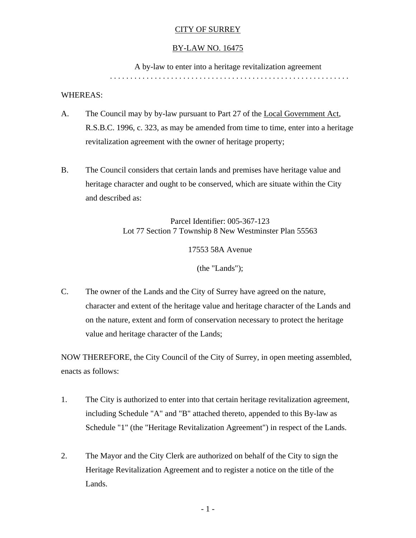## CITY OF SURREY

#### BY-LAW NO. 16475

A by-law to enter into a heritage revitalization agreement

. . . . . . . . . . . . . . . . . . . . . . . . . . . . . . . . . . . . . . . . . . . . . . . . . . . . . . . . . . .

#### WHEREAS:

- A. The Council may by by-law pursuant to Part 27 of the Local Government Act, R.S.B.C. 1996, c. 323, as may be amended from time to time, enter into a heritage revitalization agreement with the owner of heritage property;
- B. The Council considers that certain lands and premises have heritage value and heritage character and ought to be conserved, which are situate within the City and described as:

Parcel Identifier: 005-367-123 Lot 77 Section 7 Township 8 New Westminster Plan 55563

17553 58A Avenue

(the "Lands");

C. The owner of the Lands and the City of Surrey have agreed on the nature, character and extent of the heritage value and heritage character of the Lands and on the nature, extent and form of conservation necessary to protect the heritage value and heritage character of the Lands;

NOW THEREFORE, the City Council of the City of Surrey, in open meeting assembled, enacts as follows:

- 1. The City is authorized to enter into that certain heritage revitalization agreement, including Schedule "A" and "B" attached thereto, appended to this By-law as Schedule "1" (the "Heritage Revitalization Agreement") in respect of the Lands.
- 2. The Mayor and the City Clerk are authorized on behalf of the City to sign the Heritage Revitalization Agreement and to register a notice on the title of the Lands.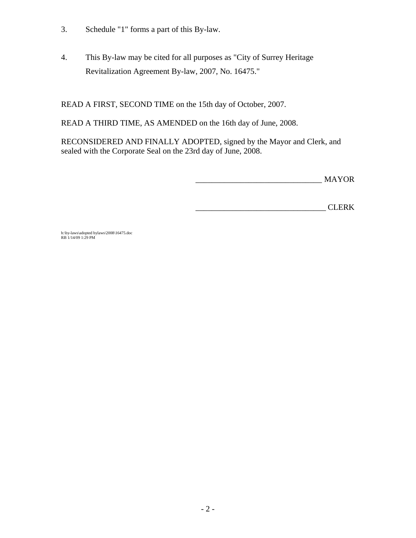- 3. Schedule "1" forms a part of this By-law.
- 4. This By-law may be cited for all purposes as "City of Surrey Heritage Revitalization Agreement By-law, 2007, No. 16475."

READ A FIRST, SECOND TIME on the 15th day of October, 2007.

READ A THIRD TIME, AS AMENDED on the 16th day of June, 2008.

RECONSIDERED AND FINALLY ADOPTED, signed by the Mayor and Clerk, and sealed with the Corporate Seal on the 23rd day of June, 2008.

 $\_$ MAYOR

\_\_\_\_\_\_\_\_\_\_\_\_\_\_\_\_\_\_\_\_\_\_\_\_\_\_\_\_\_\_\_\_ CLERK

h:\by-laws\adopted bylaws\2008\16475.doc RB 1/14/09 1:29 PM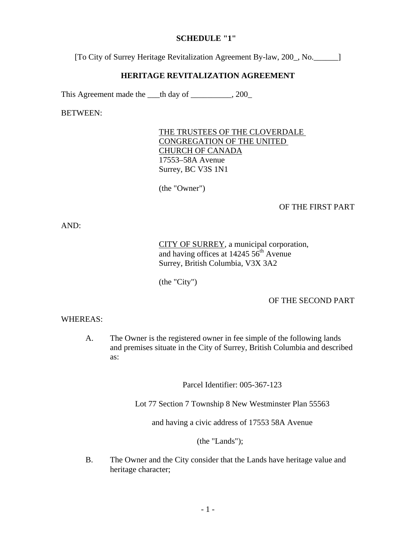#### **SCHEDULE "1"**

[To City of Surrey Heritage Revitalization Agreement By-law, 200\_, No.\_\_\_\_\_\_]

#### **HERITAGE REVITALIZATION AGREEMENT**

This Agreement made the \_\_\_th day of \_\_\_\_\_\_\_\_\_, 200\_

BETWEEN:

THE TRUSTEES OF THE CLOVERDALE CONGREGATION OF THE UNITED CHURCH OF CANADA 17553–58A Avenue Surrey, BC V3S 1N1

(the "Owner")

#### OF THE FIRST PART

AND:

CITY OF SURREY, a municipal corporation, and having offices at  $14245.56^{\text{th}}$  Avenue Surrey, British Columbia, V3X 3A2

(the "City")

#### OF THE SECOND PART

#### WHEREAS:

A. The Owner is the registered owner in fee simple of the following lands and premises situate in the City of Surrey, British Columbia and described as:

Parcel Identifier: 005-367-123

Lot 77 Section 7 Township 8 New Westminster Plan 55563

and having a civic address of 17553 58A Avenue

(the "Lands");

B. The Owner and the City consider that the Lands have heritage value and heritage character;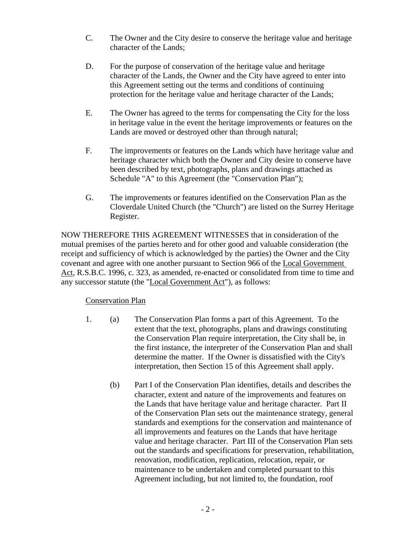- C. The Owner and the City desire to conserve the heritage value and heritage character of the Lands;
- D. For the purpose of conservation of the heritage value and heritage character of the Lands, the Owner and the City have agreed to enter into this Agreement setting out the terms and conditions of continuing protection for the heritage value and heritage character of the Lands;
- E. The Owner has agreed to the terms for compensating the City for the loss in heritage value in the event the heritage improvements or features on the Lands are moved or destroyed other than through natural;
- F. The improvements or features on the Lands which have heritage value and heritage character which both the Owner and City desire to conserve have been described by text, photographs, plans and drawings attached as Schedule "A" to this Agreement (the "Conservation Plan");
- G. The improvements or features identified on the Conservation Plan as the Cloverdale United Church (the "Church") are listed on the Surrey Heritage Register.

NOW THEREFORE THIS AGREEMENT WITNESSES that in consideration of the mutual premises of the parties hereto and for other good and valuable consideration (the receipt and sufficiency of which is acknowledged by the parties) the Owner and the City covenant and agree with one another pursuant to Section 966 of the Local Government Act, R.S.B.C. 1996, c. 323, as amended, re-enacted or consolidated from time to time and any successor statute (the "Local Government Act"), as follows:

## Conservation Plan

- 1. (a) The Conservation Plan forms a part of this Agreement. To the extent that the text, photographs, plans and drawings constituting the Conservation Plan require interpretation, the City shall be, in the first instance, the interpreter of the Conservation Plan and shall determine the matter. If the Owner is dissatisfied with the City's interpretation, then Section 15 of this Agreement shall apply.
	- (b) Part I of the Conservation Plan identifies, details and describes the character, extent and nature of the improvements and features on the Lands that have heritage value and heritage character. Part II of the Conservation Plan sets out the maintenance strategy, general standards and exemptions for the conservation and maintenance of all improvements and features on the Lands that have heritage value and heritage character. Part III of the Conservation Plan sets out the standards and specifications for preservation, rehabilitation, renovation, modification, replication, relocation, repair, or maintenance to be undertaken and completed pursuant to this Agreement including, but not limited to, the foundation, roof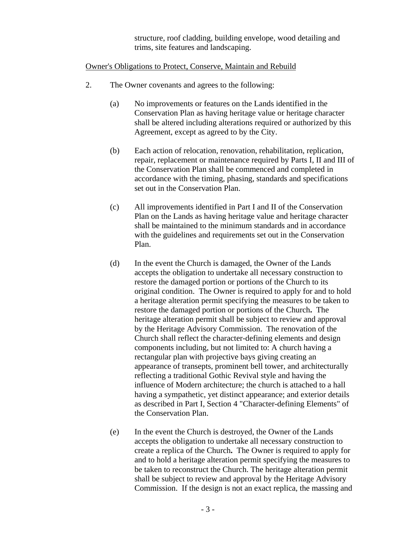structure, roof cladding, building envelope, wood detailing and trims, site features and landscaping.

### Owner's Obligations to Protect, Conserve, Maintain and Rebuild

- 2. The Owner covenants and agrees to the following:
	- (a) No improvements or features on the Lands identified in the Conservation Plan as having heritage value or heritage character shall be altered including alterations required or authorized by this Agreement, except as agreed to by the City.
	- (b) Each action of relocation, renovation, rehabilitation, replication, repair, replacement or maintenance required by Parts I, II and III of the Conservation Plan shall be commenced and completed in accordance with the timing, phasing, standards and specifications set out in the Conservation Plan.
	- (c) All improvements identified in Part I and II of the Conservation Plan on the Lands as having heritage value and heritage character shall be maintained to the minimum standards and in accordance with the guidelines and requirements set out in the Conservation Plan.
	- (d) In the event the Church is damaged, the Owner of the Lands accepts the obligation to undertake all necessary construction to restore the damaged portion or portions of the Church to its original condition. The Owner is required to apply for and to hold a heritage alteration permit specifying the measures to be taken to restore the damaged portion or portions of the Church**.** The heritage alteration permit shall be subject to review and approval by the Heritage Advisory Commission. The renovation of the Church shall reflect the character-defining elements and design components including, but not limited to: A church having a rectangular plan with projective bays giving creating an appearance of transepts, prominent bell tower, and architecturally reflecting a traditional Gothic Revival style and having the influence of Modern architecture; the church is attached to a hall having a sympathetic, yet distinct appearance; and exterior details as described in Part I, Section 4 "Character-defining Elements" of the Conservation Plan.
	- (e) In the event the Church is destroyed, the Owner of the Lands accepts the obligation to undertake all necessary construction to create a replica of the Church**.** The Owner is required to apply for and to hold a heritage alteration permit specifying the measures to be taken to reconstruct the Church. The heritage alteration permit shall be subject to review and approval by the Heritage Advisory Commission. If the design is not an exact replica, the massing and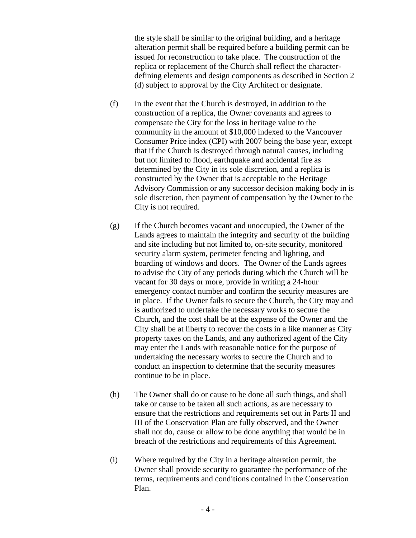the style shall be similar to the original building, and a heritage alteration permit shall be required before a building permit can be issued for reconstruction to take place. The construction of the replica or replacement of the Church shall reflect the characterdefining elements and design components as described in Section 2 (d) subject to approval by the City Architect or designate.

- (f) In the event that the Church is destroyed, in addition to the construction of a replica, the Owner covenants and agrees to compensate the City for the loss in heritage value to the community in the amount of \$10,000 indexed to the Vancouver Consumer Price index (CPI) with 2007 being the base year, except that if the Church is destroyed through natural causes, including but not limited to flood, earthquake and accidental fire as determined by the City in its sole discretion, and a replica is constructed by the Owner that is acceptable to the Heritage Advisory Commission or any successor decision making body in is sole discretion, then payment of compensation by the Owner to the City is not required.
- (g) If the Church becomes vacant and unoccupied, the Owner of the Lands agrees to maintain the integrity and security of the building and site including but not limited to, on-site security, monitored security alarm system, perimeter fencing and lighting, and boarding of windows and doors. The Owner of the Lands agrees to advise the City of any periods during which the Church will be vacant for 30 days or more, provide in writing a 24-hour emergency contact number and confirm the security measures are in place. If the Owner fails to secure the Church, the City may and is authorized to undertake the necessary works to secure the Church**,** and the cost shall be at the expense of the Owner and the City shall be at liberty to recover the costs in a like manner as City property taxes on the Lands, and any authorized agent of the City may enter the Lands with reasonable notice for the purpose of undertaking the necessary works to secure the Church and to conduct an inspection to determine that the security measures continue to be in place.
- (h) The Owner shall do or cause to be done all such things, and shall take or cause to be taken all such actions, as are necessary to ensure that the restrictions and requirements set out in Parts II and III of the Conservation Plan are fully observed, and the Owner shall not do, cause or allow to be done anything that would be in breach of the restrictions and requirements of this Agreement.
- (i) Where required by the City in a heritage alteration permit, the Owner shall provide security to guarantee the performance of the terms, requirements and conditions contained in the Conservation Plan.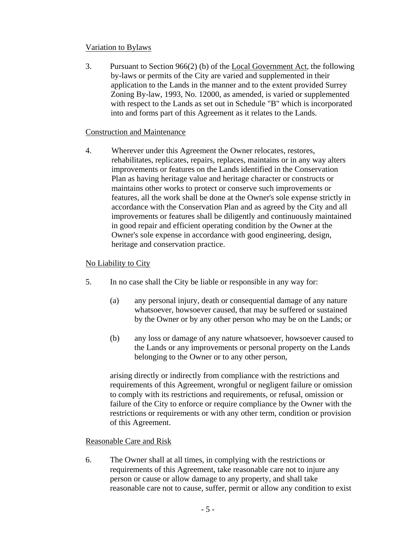## Variation to Bylaws

3. Pursuant to Section 966(2) (b) of the Local Government Act, the following by-laws or permits of the City are varied and supplemented in their application to the Lands in the manner and to the extent provided Surrey Zoning By-law, 1993, No. 12000, as amended, is varied or supplemented with respect to the Lands as set out in Schedule "B" which is incorporated into and forms part of this Agreement as it relates to the Lands.

## Construction and Maintenance

4. Wherever under this Agreement the Owner relocates, restores, rehabilitates, replicates, repairs, replaces, maintains or in any way alters improvements or features on the Lands identified in the Conservation Plan as having heritage value and heritage character or constructs or maintains other works to protect or conserve such improvements or features, all the work shall be done at the Owner's sole expense strictly in accordance with the Conservation Plan and as agreed by the City and all improvements or features shall be diligently and continuously maintained in good repair and efficient operating condition by the Owner at the Owner's sole expense in accordance with good engineering, design, heritage and conservation practice.

## No Liability to City

- 5. In no case shall the City be liable or responsible in any way for:
	- (a) any personal injury, death or consequential damage of any nature whatsoever, howsoever caused, that may be suffered or sustained by the Owner or by any other person who may be on the Lands; or
	- (b) any loss or damage of any nature whatsoever, howsoever caused to the Lands or any improvements or personal property on the Lands belonging to the Owner or to any other person,

 arising directly or indirectly from compliance with the restrictions and requirements of this Agreement, wrongful or negligent failure or omission to comply with its restrictions and requirements, or refusal, omission or failure of the City to enforce or require compliance by the Owner with the restrictions or requirements or with any other term, condition or provision of this Agreement.

## Reasonable Care and Risk

6. The Owner shall at all times, in complying with the restrictions or requirements of this Agreement, take reasonable care not to injure any person or cause or allow damage to any property, and shall take reasonable care not to cause, suffer, permit or allow any condition to exist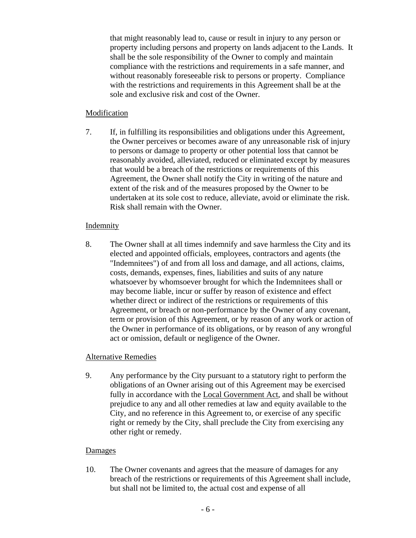that might reasonably lead to, cause or result in injury to any person or property including persons and property on lands adjacent to the Lands. It shall be the sole responsibility of the Owner to comply and maintain compliance with the restrictions and requirements in a safe manner, and without reasonably foreseeable risk to persons or property. Compliance with the restrictions and requirements in this Agreement shall be at the sole and exclusive risk and cost of the Owner.

#### Modification

7. If, in fulfilling its responsibilities and obligations under this Agreement, the Owner perceives or becomes aware of any unreasonable risk of injury to persons or damage to property or other potential loss that cannot be reasonably avoided, alleviated, reduced or eliminated except by measures that would be a breach of the restrictions or requirements of this Agreement, the Owner shall notify the City in writing of the nature and extent of the risk and of the measures proposed by the Owner to be undertaken at its sole cost to reduce, alleviate, avoid or eliminate the risk. Risk shall remain with the Owner.

## Indemnity

8. The Owner shall at all times indemnify and save harmless the City and its elected and appointed officials, employees, contractors and agents (the "Indemnitees") of and from all loss and damage, and all actions, claims, costs, demands, expenses, fines, liabilities and suits of any nature whatsoever by whomsoever brought for which the Indemnitees shall or may become liable, incur or suffer by reason of existence and effect whether direct or indirect of the restrictions or requirements of this Agreement, or breach or non-performance by the Owner of any covenant, term or provision of this Agreement, or by reason of any work or action of the Owner in performance of its obligations, or by reason of any wrongful act or omission, default or negligence of the Owner.

## Alternative Remedies

9. Any performance by the City pursuant to a statutory right to perform the obligations of an Owner arising out of this Agreement may be exercised fully in accordance with the Local Government Act, and shall be without prejudice to any and all other remedies at law and equity available to the City, and no reference in this Agreement to, or exercise of any specific right or remedy by the City, shall preclude the City from exercising any other right or remedy.

## Damages

10. The Owner covenants and agrees that the measure of damages for any breach of the restrictions or requirements of this Agreement shall include, but shall not be limited to, the actual cost and expense of all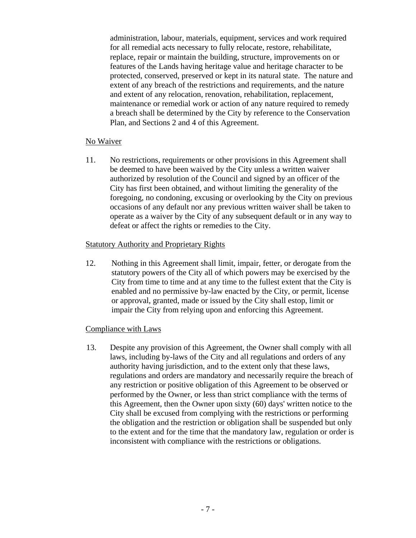administration, labour, materials, equipment, services and work required for all remedial acts necessary to fully relocate, restore, rehabilitate, replace, repair or maintain the building, structure, improvements on or features of the Lands having heritage value and heritage character to be protected, conserved, preserved or kept in its natural state. The nature and extent of any breach of the restrictions and requirements, and the nature and extent of any relocation, renovation, rehabilitation, replacement, maintenance or remedial work or action of any nature required to remedy a breach shall be determined by the City by reference to the Conservation Plan, and Sections 2 and 4 of this Agreement.

## No Waiver

11. No restrictions, requirements or other provisions in this Agreement shall be deemed to have been waived by the City unless a written waiver authorized by resolution of the Council and signed by an officer of the City has first been obtained, and without limiting the generality of the foregoing, no condoning, excusing or overlooking by the City on previous occasions of any default nor any previous written waiver shall be taken to operate as a waiver by the City of any subsequent default or in any way to defeat or affect the rights or remedies to the City.

## Statutory Authority and Proprietary Rights

12. Nothing in this Agreement shall limit, impair, fetter, or derogate from the statutory powers of the City all of which powers may be exercised by the City from time to time and at any time to the fullest extent that the City is enabled and no permissive by-law enacted by the City, or permit, license or approval, granted, made or issued by the City shall estop, limit or impair the City from relying upon and enforcing this Agreement.

#### Compliance with Laws

13. Despite any provision of this Agreement, the Owner shall comply with all laws, including by-laws of the City and all regulations and orders of any authority having jurisdiction, and to the extent only that these laws, regulations and orders are mandatory and necessarily require the breach of any restriction or positive obligation of this Agreement to be observed or performed by the Owner, or less than strict compliance with the terms of this Agreement, then the Owner upon sixty (60) days' written notice to the City shall be excused from complying with the restrictions or performing the obligation and the restriction or obligation shall be suspended but only to the extent and for the time that the mandatory law, regulation or order is inconsistent with compliance with the restrictions or obligations.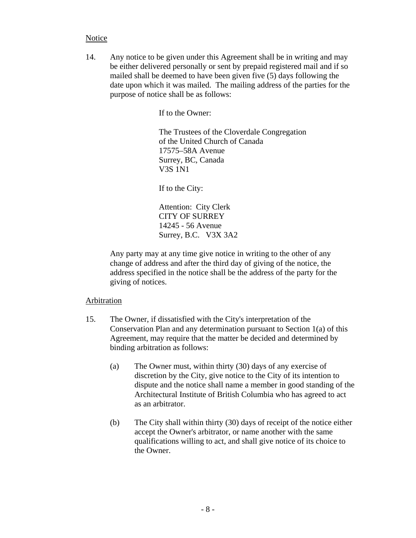## **Notice**

14. Any notice to be given under this Agreement shall be in writing and may be either delivered personally or sent by prepaid registered mail and if so mailed shall be deemed to have been given five (5) days following the date upon which it was mailed. The mailing address of the parties for the purpose of notice shall be as follows:

If to the Owner:

The Trustees of the Cloverdale Congregation of the United Church of Canada 17575–58A Avenue Surrey, BC, Canada V3S 1N1

If to the City:

Attention: City Clerk CITY OF SURREY 14245 - 56 Avenue Surrey, B.C. V3X 3A2

 Any party may at any time give notice in writing to the other of any change of address and after the third day of giving of the notice, the address specified in the notice shall be the address of the party for the giving of notices.

#### Arbitration

- 15. The Owner, if dissatisfied with the City's interpretation of the Conservation Plan and any determination pursuant to Section 1(a) of this Agreement, may require that the matter be decided and determined by binding arbitration as follows:
	- (a) The Owner must, within thirty (30) days of any exercise of discretion by the City, give notice to the City of its intention to dispute and the notice shall name a member in good standing of the Architectural Institute of British Columbia who has agreed to act as an arbitrator.
	- (b) The City shall within thirty (30) days of receipt of the notice either accept the Owner's arbitrator, or name another with the same qualifications willing to act, and shall give notice of its choice to the Owner.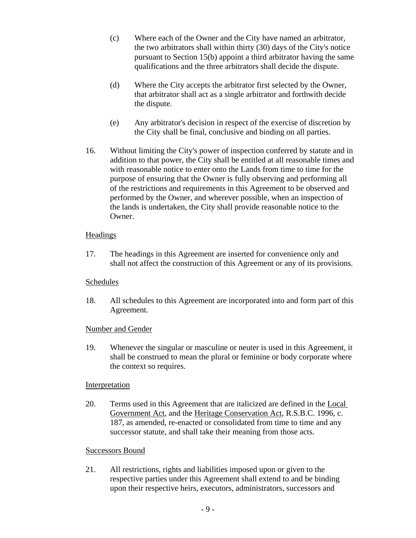- (c) Where each of the Owner and the City have named an arbitrator, the two arbitrators shall within thirty (30) days of the City's notice pursuant to Section 15(b) appoint a third arbitrator having the same qualifications and the three arbitrators shall decide the dispute.
- (d) Where the City accepts the arbitrator first selected by the Owner, that arbitrator shall act as a single arbitrator and forthwith decide the dispute.
- (e) Any arbitrator's decision in respect of the exercise of discretion by the City shall be final, conclusive and binding on all parties.
- 16. Without limiting the City's power of inspection conferred by statute and in addition to that power, the City shall be entitled at all reasonable times and with reasonable notice to enter onto the Lands from time to time for the purpose of ensuring that the Owner is fully observing and performing all of the restrictions and requirements in this Agreement to be observed and performed by the Owner, and wherever possible, when an inspection of the lands is undertaken, the City shall provide reasonable notice to the Owner.

## **Headings**

17. The headings in this Agreement are inserted for convenience only and shall not affect the construction of this Agreement or any of its provisions.

## Schedules

18. All schedules to this Agreement are incorporated into and form part of this Agreement.

## Number and Gender

19. Whenever the singular or masculine or neuter is used in this Agreement, it shall be construed to mean the plural or feminine or body corporate where the context so requires.

## Interpretation

20. Terms used in this Agreement that are italicized are defined in the Local Government Act, and the Heritage Conservation Act, R.S.B.C. 1996, c. 187, as amended, re-enacted or consolidated from time to time and any successor statute, and shall take their meaning from those acts.

## Successors Bound

21. All restrictions, rights and liabilities imposed upon or given to the respective parties under this Agreement shall extend to and be binding upon their respective heirs, executors, administrators, successors and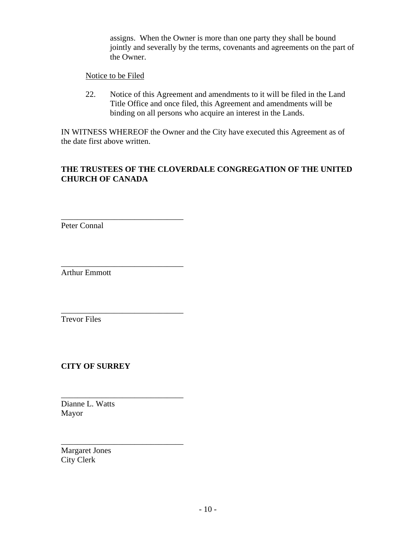assigns. When the Owner is more than one party they shall be bound jointly and severally by the terms, covenants and agreements on the part of the Owner.

Notice to be Filed

\_\_\_\_\_\_\_\_\_\_\_\_\_\_\_\_\_\_\_\_\_\_\_\_\_\_\_\_\_\_

\_\_\_\_\_\_\_\_\_\_\_\_\_\_\_\_\_\_\_\_\_\_\_\_\_\_\_\_\_\_

\_\_\_\_\_\_\_\_\_\_\_\_\_\_\_\_\_\_\_\_\_\_\_\_\_\_\_\_\_\_

\_\_\_\_\_\_\_\_\_\_\_\_\_\_\_\_\_\_\_\_\_\_\_\_\_\_\_\_\_\_

\_\_\_\_\_\_\_\_\_\_\_\_\_\_\_\_\_\_\_\_\_\_\_\_\_\_\_\_\_\_

22. Notice of this Agreement and amendments to it will be filed in the Land Title Office and once filed, this Agreement and amendments will be binding on all persons who acquire an interest in the Lands.

IN WITNESS WHEREOF the Owner and the City have executed this Agreement as of the date first above written.

## **THE TRUSTEES OF THE CLOVERDALE CONGREGATION OF THE UNITED CHURCH OF CANADA**

Peter Connal

Arthur Emmott

Trevor Files

**CITY OF SURREY** 

Dianne L. Watts Mayor

Margaret Jones City Clerk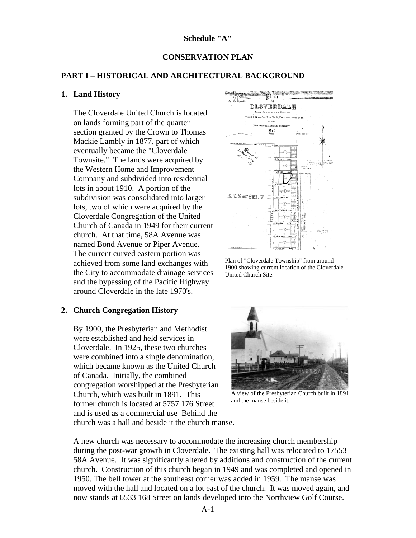#### **CONSERVATION PLAN**

#### **PART I – HISTORICAL AND ARCHITECTURAL BACKGROUND**

#### **1. Land History**

The Cloverdale United Church is located on lands forming part of the quarter section granted by the Crown to Thomas Mackie Lambly in 1877, part of which eventually became the "Cloverdale Townsite." The lands were acquired by the Western Home and Improvement Company and subdivided into residential lots in about 1910. A portion of the subdivision was consolidated into larger lots, two of which were acquired by the Cloverdale Congregation of the United Church of Canada in 1949 for their current church. At that time, 58A Avenue was named Bond Avenue or Piper Avenue. The current curved eastern portion was achieved from some land exchanges with the City to accommodate drainage services and the bypassing of the Pacific Highway around Cloverdale in the late 1970's.

#### **2. Church Congregation History**

By 1900, the Presbyterian and Methodist were established and held services in Cloverdale. In 1925, these two churches were combined into a single denomination, which became known as the United Church of Canada. Initially, the combined congregation worshipped at the Presbyterian Church, which was built in 1891. This former church is located at 5757 176 Street and is used as a commercial use Behind the church was a hall and beside it the church manse.



Plan of "Cloverdale Township" from around 1900.showing current location of the Cloverdale United Church Site.



A view of the Presbyterian Church built in 1891 and the manse beside it.

A new church was necessary to accommodate the increasing church membership during the post-war growth in Cloverdale. The existing hall was relocated to 17553 58A Avenue. It was significantly altered by additions and construction of the current church. Construction of this church began in 1949 and was completed and opened in 1950. The bell tower at the southeast corner was added in 1959. The manse was moved with the hall and located on a lot east of the church. It was moved again, and now stands at 6533 168 Street on lands developed into the Northview Golf Course.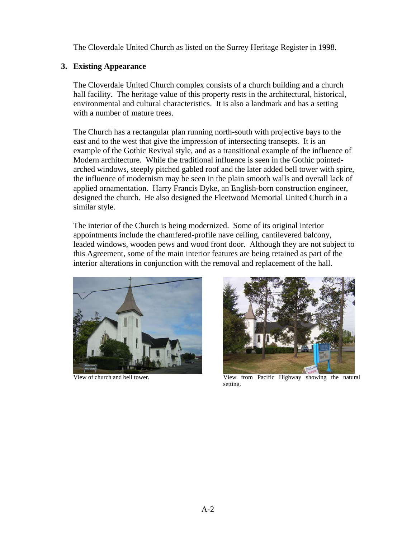The Cloverdale United Church as listed on the Surrey Heritage Register in 1998.

## **3. Existing Appearance**

The Cloverdale United Church complex consists of a church building and a church hall facility. The heritage value of this property rests in the architectural, historical, environmental and cultural characteristics. It is also a landmark and has a setting with a number of mature trees.

The Church has a rectangular plan running north-south with projective bays to the east and to the west that give the impression of intersecting transepts. It is an example of the Gothic Revival style, and as a transitional example of the influence of Modern architecture. While the traditional influence is seen in the Gothic pointedarched windows, steeply pitched gabled roof and the later added bell tower with spire, the influence of modernism may be seen in the plain smooth walls and overall lack of applied ornamentation. Harry Francis Dyke, an English-born construction engineer, designed the church. He also designed the Fleetwood Memorial United Church in a similar style.

The interior of the Church is being modernized. Some of its original interior appointments include the chamfered-profile nave ceiling, cantilevered balcony, leaded windows, wooden pews and wood front door. Although they are not subject to this Agreement, some of the main interior features are being retained as part of the interior alterations in conjunction with the removal and replacement of the hall.





View of church and bell tower. View from Pacific Highway showing the natural setting.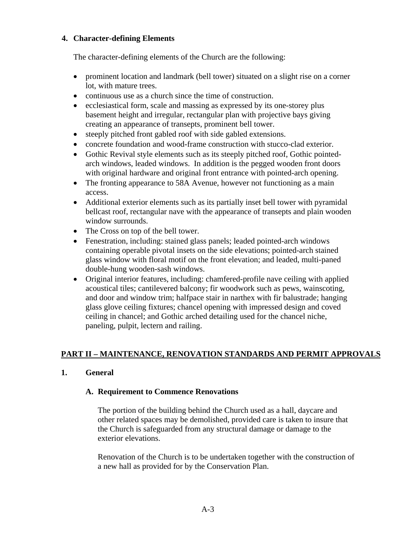## **4. Character-defining Elements**

The character-defining elements of the Church are the following:

- prominent location and landmark (bell tower) situated on a slight rise on a corner lot, with mature trees.
- continuous use as a church since the time of construction.
- ecclesiastical form, scale and massing as expressed by its one-storey plus basement height and irregular, rectangular plan with projective bays giving creating an appearance of transepts, prominent bell tower.
- steeply pitched front gabled roof with side gabled extensions.
- concrete foundation and wood-frame construction with stucco-clad exterior.
- Gothic Revival style elements such as its steeply pitched roof, Gothic pointedarch windows, leaded windows. In addition is the pegged wooden front doors with original hardware and original front entrance with pointed-arch opening.
- The fronting appearance to 58A Avenue, however not functioning as a main access.
- Additional exterior elements such as its partially inset bell tower with pyramidal bellcast roof, rectangular nave with the appearance of transepts and plain wooden window surrounds.
- The Cross on top of the bell tower.
- Fenestration, including: stained glass panels; leaded pointed-arch windows containing operable pivotal insets on the side elevations; pointed-arch stained glass window with floral motif on the front elevation; and leaded, multi-paned double-hung wooden-sash windows.
- Original interior features, including: chamfered-profile nave ceiling with applied acoustical tiles; cantilevered balcony; fir woodwork such as pews, wainscoting, and door and window trim; halfpace stair in narthex with fir balustrade; hanging glass glove ceiling fixtures; chancel opening with impressed design and coved ceiling in chancel; and Gothic arched detailing used for the chancel niche, paneling, pulpit, lectern and railing.

## **PART II – MAINTENANCE, RENOVATION STANDARDS AND PERMIT APPROVALS**

#### **1. General**

#### **A. Requirement to Commence Renovations**

The portion of the building behind the Church used as a hall, daycare and other related spaces may be demolished, provided care is taken to insure that the Church is safeguarded from any structural damage or damage to the exterior elevations.

Renovation of the Church is to be undertaken together with the construction of a new hall as provided for by the Conservation Plan.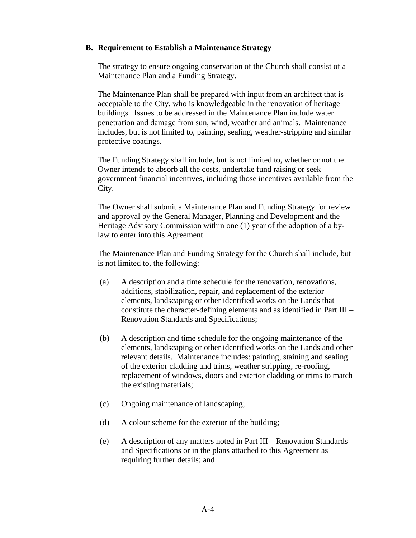#### **B. Requirement to Establish a Maintenance Strategy**

The strategy to ensure ongoing conservation of the Church shall consist of a Maintenance Plan and a Funding Strategy.

The Maintenance Plan shall be prepared with input from an architect that is acceptable to the City, who is knowledgeable in the renovation of heritage buildings. Issues to be addressed in the Maintenance Plan include water penetration and damage from sun, wind, weather and animals. Maintenance includes, but is not limited to, painting, sealing, weather-stripping and similar protective coatings.

The Funding Strategy shall include, but is not limited to, whether or not the Owner intends to absorb all the costs, undertake fund raising or seek government financial incentives, including those incentives available from the City.

The Owner shall submit a Maintenance Plan and Funding Strategy for review and approval by the General Manager, Planning and Development and the Heritage Advisory Commission within one (1) year of the adoption of a bylaw to enter into this Agreement.

The Maintenance Plan and Funding Strategy for the Church shall include, but is not limited to, the following:

- (a) A description and a time schedule for the renovation, renovations, additions, stabilization, repair, and replacement of the exterior elements, landscaping or other identified works on the Lands that constitute the character-defining elements and as identified in Part III – Renovation Standards and Specifications;
- (b) A description and time schedule for the ongoing maintenance of the elements, landscaping or other identified works on the Lands and other relevant details. Maintenance includes: painting, staining and sealing of the exterior cladding and trims, weather stripping, re-roofing, replacement of windows, doors and exterior cladding or trims to match the existing materials;
- (c) Ongoing maintenance of landscaping;
- (d) A colour scheme for the exterior of the building;
- (e) A description of any matters noted in Part III Renovation Standards and Specifications or in the plans attached to this Agreement as requiring further details; and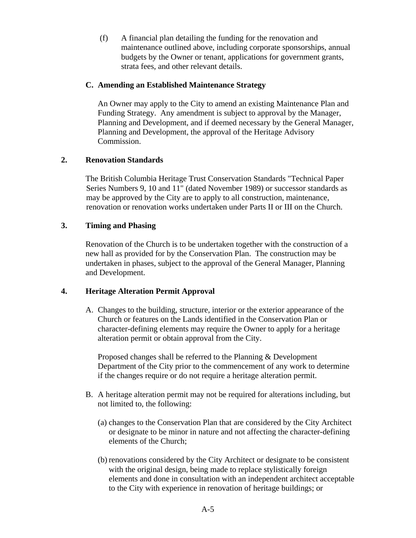(f) A financial plan detailing the funding for the renovation and maintenance outlined above, including corporate sponsorships, annual budgets by the Owner or tenant, applications for government grants, strata fees, and other relevant details.

## **C. Amending an Established Maintenance Strategy**

An Owner may apply to the City to amend an existing Maintenance Plan and Funding Strategy. Any amendment is subject to approval by the Manager, Planning and Development, and if deemed necessary by the General Manager, Planning and Development, the approval of the Heritage Advisory Commission.

## **2. Renovation Standards**

The British Columbia Heritage Trust Conservation Standards "Technical Paper Series Numbers 9, 10 and 11" (dated November 1989) or successor standards as may be approved by the City are to apply to all construction, maintenance, renovation or renovation works undertaken under Parts II or III on the Church.

## **3. Timing and Phasing**

Renovation of the Church is to be undertaken together with the construction of a new hall as provided for by the Conservation Plan. The construction may be undertaken in phases, subject to the approval of the General Manager, Planning and Development.

## **4. Heritage Alteration Permit Approval**

A. Changes to the building, structure, interior or the exterior appearance of the Church or features on the Lands identified in the Conservation Plan or character-defining elements may require the Owner to apply for a heritage alteration permit or obtain approval from the City.

Proposed changes shall be referred to the Planning & Development Department of the City prior to the commencement of any work to determine if the changes require or do not require a heritage alteration permit.

- B. A heritage alteration permit may not be required for alterations including, but not limited to, the following:
	- (a) changes to the Conservation Plan that are considered by the City Architect or designate to be minor in nature and not affecting the character-defining elements of the Church;
	- (b) renovations considered by the City Architect or designate to be consistent with the original design, being made to replace stylistically foreign elements and done in consultation with an independent architect acceptable to the City with experience in renovation of heritage buildings; or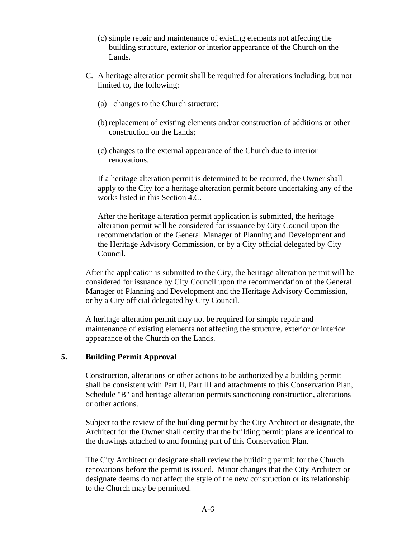- (c) simple repair and maintenance of existing elements not affecting the building structure, exterior or interior appearance of the Church on the Lands.
- C. A heritage alteration permit shall be required for alterations including, but not limited to, the following:
	- (a) changes to the Church structure;
	- (b) replacement of existing elements and/or construction of additions or other construction on the Lands;
	- (c) changes to the external appearance of the Church due to interior renovations.

If a heritage alteration permit is determined to be required, the Owner shall apply to the City for a heritage alteration permit before undertaking any of the works listed in this Section 4.C.

After the heritage alteration permit application is submitted, the heritage alteration permit will be considered for issuance by City Council upon the recommendation of the General Manager of Planning and Development and the Heritage Advisory Commission, or by a City official delegated by City Council.

After the application is submitted to the City, the heritage alteration permit will be considered for issuance by City Council upon the recommendation of the General Manager of Planning and Development and the Heritage Advisory Commission, or by a City official delegated by City Council.

A heritage alteration permit may not be required for simple repair and maintenance of existing elements not affecting the structure, exterior or interior appearance of the Church on the Lands.

## **5. Building Permit Approval**

Construction, alterations or other actions to be authorized by a building permit shall be consistent with Part II, Part III and attachments to this Conservation Plan, Schedule "B" and heritage alteration permits sanctioning construction, alterations or other actions.

Subject to the review of the building permit by the City Architect or designate, the Architect for the Owner shall certify that the building permit plans are identical to the drawings attached to and forming part of this Conservation Plan.

The City Architect or designate shall review the building permit for the Church renovations before the permit is issued. Minor changes that the City Architect or designate deems do not affect the style of the new construction or its relationship to the Church may be permitted.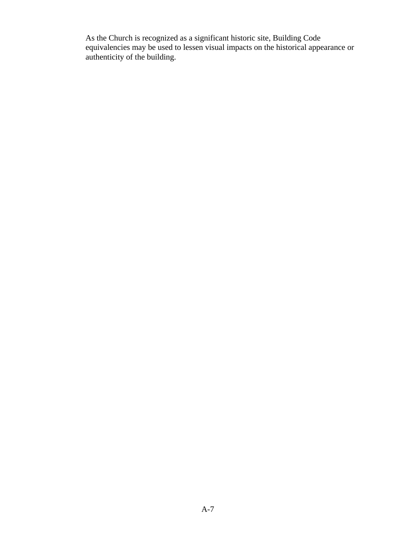As the Church is recognized as a significant historic site, Building Code equivalencies may be used to lessen visual impacts on the historical appearance or authenticity of the building.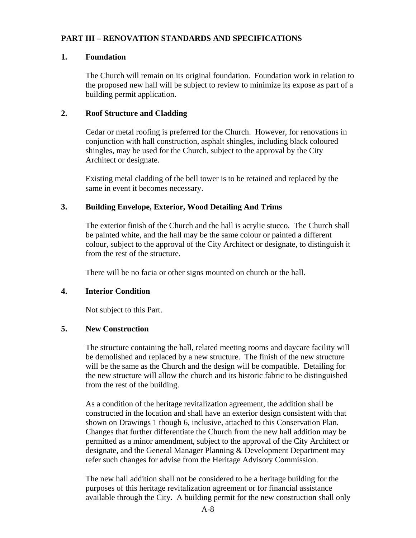## **PART III – RENOVATION STANDARDS AND SPECIFICATIONS**

#### **1. Foundation**

The Church will remain on its original foundation. Foundation work in relation to the proposed new hall will be subject to review to minimize its expose as part of a building permit application.

#### **2. Roof Structure and Cladding**

Cedar or metal roofing is preferred for the Church. However, for renovations in conjunction with hall construction, asphalt shingles, including black coloured shingles, may be used for the Church, subject to the approval by the City Architect or designate.

Existing metal cladding of the bell tower is to be retained and replaced by the same in event it becomes necessary.

## **3. Building Envelope, Exterior, Wood Detailing And Trims**

The exterior finish of the Church and the hall is acrylic stucco. The Church shall be painted white, and the hall may be the same colour or painted a different colour, subject to the approval of the City Architect or designate, to distinguish it from the rest of the structure.

There will be no facia or other signs mounted on church or the hall.

#### **4. Interior Condition**

Not subject to this Part.

#### **5. New Construction**

The structure containing the hall, related meeting rooms and daycare facility will be demolished and replaced by a new structure. The finish of the new structure will be the same as the Church and the design will be compatible. Detailing for the new structure will allow the church and its historic fabric to be distinguished from the rest of the building.

As a condition of the heritage revitalization agreement, the addition shall be constructed in the location and shall have an exterior design consistent with that shown on Drawings 1 though 6, inclusive, attached to this Conservation Plan. Changes that further differentiate the Church from the new hall addition may be permitted as a minor amendment, subject to the approval of the City Architect or designate, and the General Manager Planning & Development Department may refer such changes for advise from the Heritage Advisory Commission.

The new hall addition shall not be considered to be a heritage building for the purposes of this heritage revitalization agreement or for financial assistance available through the City. A building permit for the new construction shall only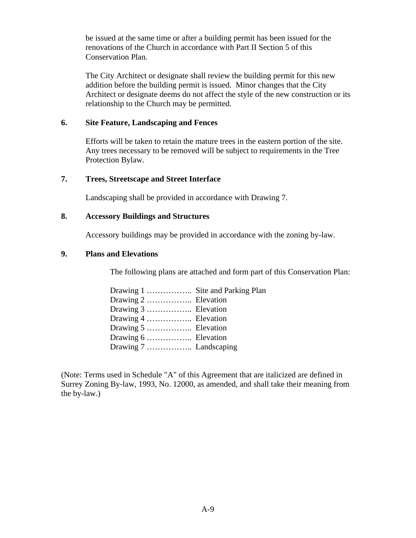be issued at the same time or after a building permit has been issued for the renovations of the Church in accordance with Part II Section 5 of this Conservation Plan.

The City Architect or designate shall review the building permit for this new addition before the building permit is issued. Minor changes that the City Architect or designate deems do not affect the style of the new construction or its relationship to the Church may be permitted.

#### **6. Site Feature, Landscaping and Fences**

Efforts will be taken to retain the mature trees in the eastern portion of the site. Any trees necessary to be removed will be subject to requirements in the Tree Protection Bylaw.

#### **7. Trees, Streetscape and Street Interface**

Landscaping shall be provided in accordance with Drawing 7.

## **8. Accessory Buildings and Structures**

Accessory buildings may be provided in accordance with the zoning by-law.

## **9. Plans and Elevations**

The following plans are attached and form part of this Conservation Plan:

| Drawing 1  Site and Parking Plan |  |
|----------------------------------|--|
|                                  |  |
|                                  |  |
|                                  |  |
|                                  |  |
|                                  |  |
|                                  |  |

(Note: Terms used in Schedule "A" of this Agreement that are italicized are defined in Surrey Zoning By-law, 1993, No. 12000, as amended, and shall take their meaning from the by-law.)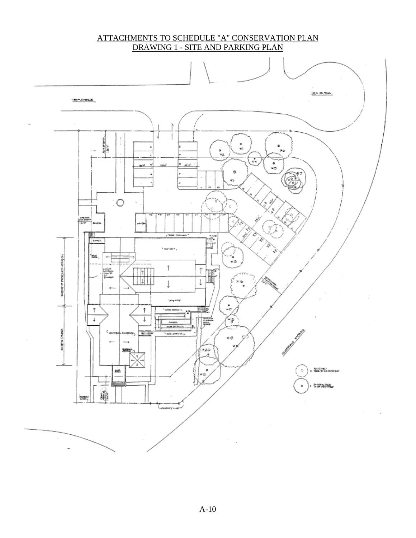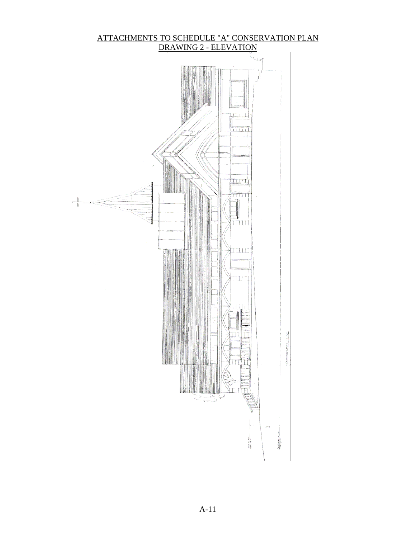

## A-11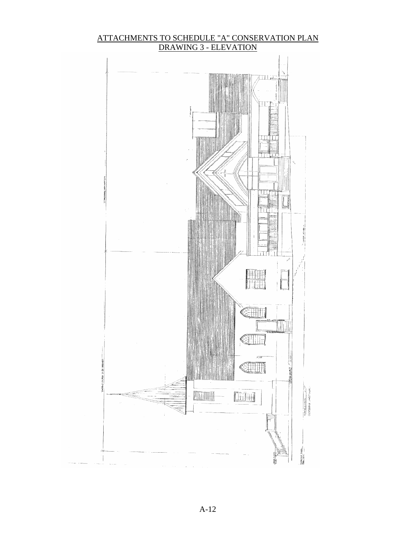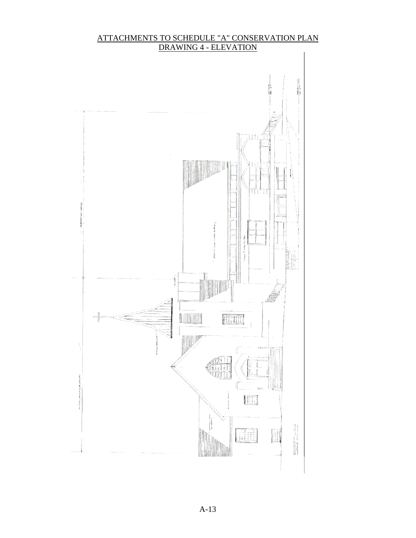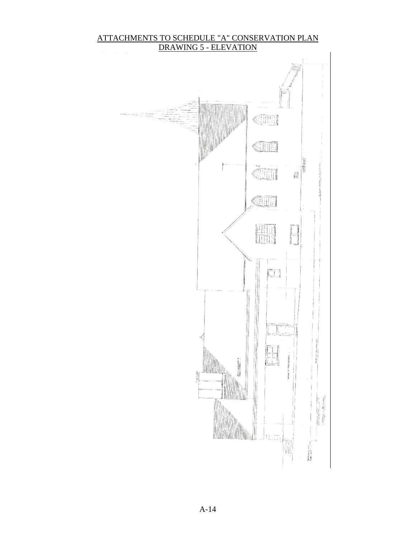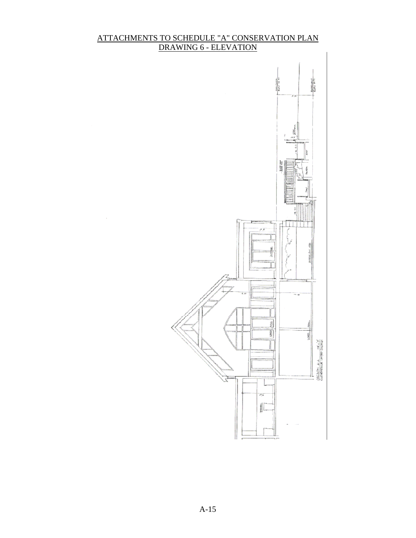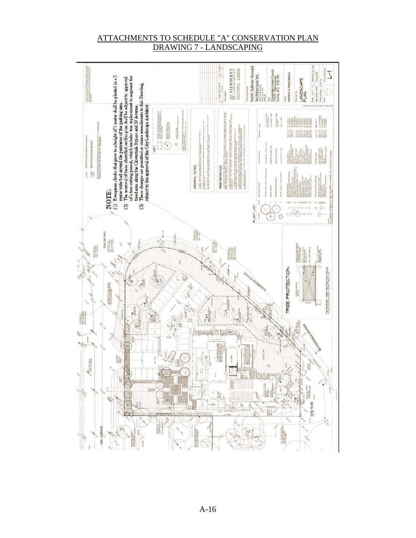### ATTACHMENTS TO SCHEDULE "A" CONSERVATION PLAN DRAWING 7 - LANDSCAPING